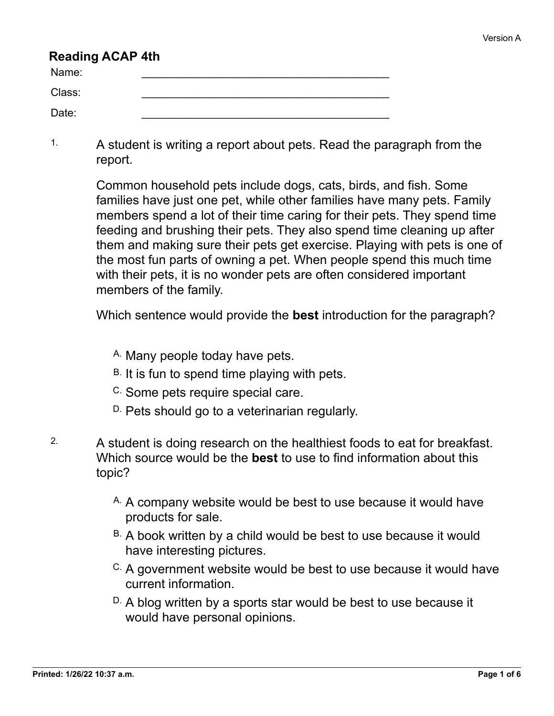## **Reading ACAP 4th**

| Name:  |  |
|--------|--|
| Class: |  |
| Date:  |  |

<sup>1.</sup> A student is writing a report about pets. Read the paragraph from the report.

> Common household pets include dogs, cats, birds, and fish. Some families have just one pet, while other families have many pets. Family members spend a lot of their time caring for their pets. They spend time feeding and brushing their pets. They also spend time cleaning up after them and making sure their pets get exercise. Playing with pets is one of the most fun parts of owning a pet. When people spend this much time with their pets, it is no wonder pets are often considered important members of the family.

Which sentence would provide the **best** introduction for the paragraph?

- A. Many people today have pets.
- B. It is fun to spend time playing with pets.
- C. Some pets require special care.
- D. Pets should go to a veterinarian regularly.
- 2. A student is doing research on the healthiest foods to eat for breakfast. Which source would be the **best** to use to find information about this topic?
	- A. A company website would be best to use because it would have products for sale.
	- B. A book written by a child would be best to use because it would have interesting pictures.
	- C. A government website would be best to use because it would have current information.
	- D. A blog written by a sports star would be best to use because it would have personal opinions.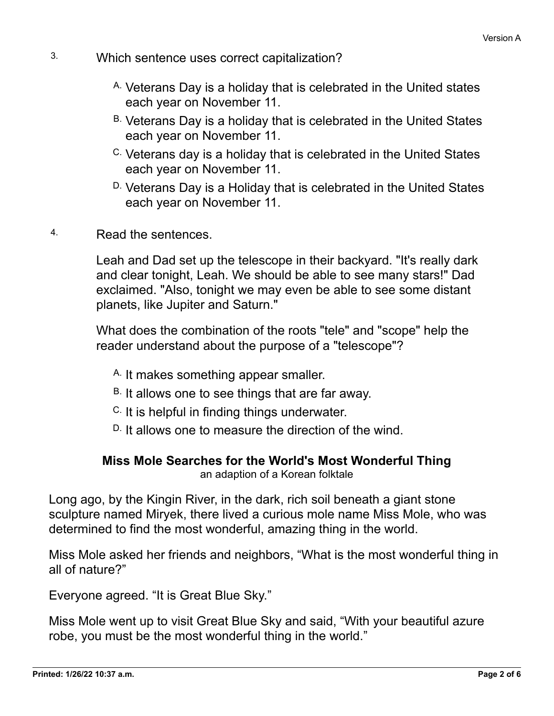- 3. Which sentence uses correct capitalization?
	- A. Veterans Day is a holiday that is celebrated in the United states each year on November 11.
	- B. Veterans Day is a holiday that is celebrated in the United States each year on November 11.
	- C. Veterans day is a holiday that is celebrated in the United States each year on November 11.
	- D. Veterans Day is a Holiday that is celebrated in the United States each year on November 11.
- 4. Read the sentences.

Leah and Dad set up the telescope in their backyard. "It's really dark and clear tonight, Leah. We should be able to see many stars!" Dad exclaimed. "Also, tonight we may even be able to see some distant planets, like Jupiter and Saturn."

What does the combination of the roots "tele" and "scope" help the reader understand about the purpose of a "telescope"?

- A. It makes something appear smaller.
- B. It allows one to see things that are far away.
- C. It is helpful in finding things underwater.
- D. It allows one to measure the direction of the wind.

## **Miss Mole Searches for the World's Most Wonderful Thing**

an adaption of a Korean folktale

Long ago, by the Kingin River, in the dark, rich soil beneath a giant stone sculpture named Miryek, there lived a curious mole name Miss Mole, who was determined to find the most wonderful, amazing thing in the world.

Miss Mole asked her friends and neighbors, "What is the most wonderful thing in all of nature?"

Everyone agreed. "It is Great Blue Sky."

Miss Mole went up to visit Great Blue Sky and said, "With your beautiful azure robe, you must be the most wonderful thing in the world."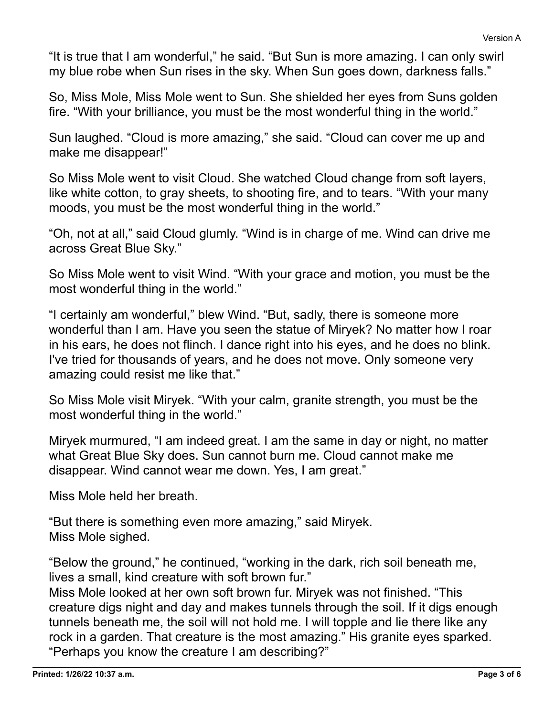"It is true that I am wonderful," he said. "But Sun is more amazing. I can only swirl my blue robe when Sun rises in the sky. When Sun goes down, darkness falls."

So, Miss Mole, Miss Mole went to Sun. She shielded her eyes from Suns golden fire. "With your brilliance, you must be the most wonderful thing in the world."

Sun laughed. "Cloud is more amazing," she said. "Cloud can cover me up and make me disappear!"

So Miss Mole went to visit Cloud. She watched Cloud change from soft layers, like white cotton, to gray sheets, to shooting fire, and to tears. "With your many moods, you must be the most wonderful thing in the world."

"Oh, not at all," said Cloud glumly. "Wind is in charge of me. Wind can drive me across Great Blue Sky."

So Miss Mole went to visit Wind. "With your grace and motion, you must be the most wonderful thing in the world."

"I certainly am wonderful," blew Wind. "But, sadly, there is someone more wonderful than I am. Have you seen the statue of Miryek? No matter how I roar in his ears, he does not flinch. I dance right into his eyes, and he does no blink. I've tried for thousands of years, and he does not move. Only someone very amazing could resist me like that."

So Miss Mole visit Miryek. "With your calm, granite strength, you must be the most wonderful thing in the world."

Miryek murmured, "I am indeed great. I am the same in day or night, no matter what Great Blue Sky does. Sun cannot burn me. Cloud cannot make me disappear. Wind cannot wear me down. Yes, I am great."

Miss Mole held her breath.

"But there is something even more amazing," said Miryek. Miss Mole sighed.

"Below the ground," he continued, "working in the dark, rich soil beneath me, lives a small, kind creature with soft brown fur."

Miss Mole looked at her own soft brown fur. Miryek was not finished. "This creature digs night and day and makes tunnels through the soil. If it digs enough tunnels beneath me, the soil will not hold me. I will topple and lie there like any rock in a garden. That creature is the most amazing." His granite eyes sparked. "Perhaps you know the creature I am describing?"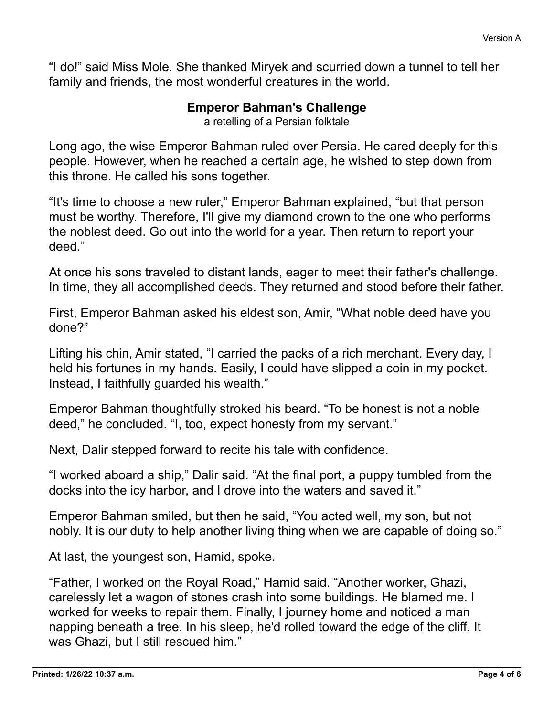"I do!" said Miss Mole. She thanked Miryek and scurried down a tunnel to tell her family and friends, the most wonderful creatures in the world.

## **Emperor Bahman's Challenge**

a retelling of a Persian folktale

Long ago, the wise Emperor Bahman ruled over Persia. He cared deeply for this people. However, when he reached a certain age, he wished to step down from this throne. He called his sons together.

"It's time to choose a new ruler," Emperor Bahman explained, "but that person must be worthy. Therefore, I'll give my diamond crown to the one who performs the noblest deed. Go out into the world for a year. Then return to report your deed."

At once his sons traveled to distant lands, eager to meet their father's challenge. In time, they all accomplished deeds. They returned and stood before their father.

First, Emperor Bahman asked his eldest son, Amir, "What noble deed have you done?"

Lifting his chin, Amir stated, "I carried the packs of a rich merchant. Every day, I held his fortunes in my hands. Easily, I could have slipped a coin in my pocket. Instead, I faithfully guarded his wealth."

Emperor Bahman thoughtfully stroked his beard. "To be honest is not a noble deed," he concluded. "I, too, expect honesty from my servant."

Next, Dalir stepped forward to recite his tale with confidence.

"I worked aboard a ship," Dalir said. "At the final port, a puppy tumbled from the docks into the icy harbor, and I drove into the waters and saved it."

Emperor Bahman smiled, but then he said, "You acted well, my son, but not nobly. It is our duty to help another living thing when we are capable of doing so."

At last, the youngest son, Hamid, spoke.

"Father, I worked on the Royal Road," Hamid said. "Another worker, Ghazi, carelessly let a wagon of stones crash into some buildings. He blamed me. I worked for weeks to repair them. Finally, I journey home and noticed a man napping beneath a tree. In his sleep, he'd rolled toward the edge of the cliff. It was Ghazi, but I still rescued him."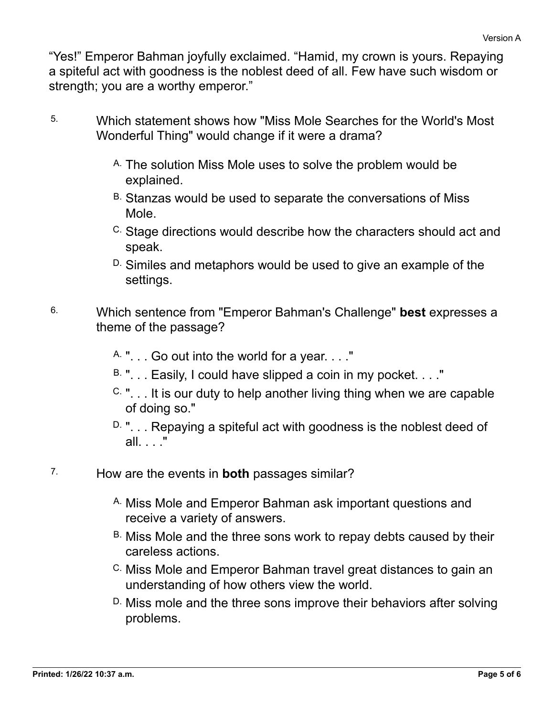"Yes!" Emperor Bahman joyfully exclaimed. "Hamid, my crown is yours. Repaying a spiteful act with goodness is the noblest deed of all. Few have such wisdom or strength; you are a worthy emperor."

- 5. Which statement shows how "Miss Mole Searches for the World's Most Wonderful Thing" would change if it were a drama?
	- A. The solution Miss Mole uses to solve the problem would be explained.
	- B. Stanzas would be used to separate the conversations of Miss Mole.
	- C. Stage directions would describe how the characters should act and speak.
	- D. Similes and metaphors would be used to give an example of the settings.
- 6. Which sentence from "Emperor Bahman's Challenge" **best** expresses a theme of the passage?
	- A. ". . . Go out into the world for a year. . . ."
	- $B.$  "... Easily, I could have slipped a coin in my pocket...."
	- $C.$  "... It is our duty to help another living thing when we are capable of doing so."
	- $D.$  "... Repaying a spiteful act with goodness is the noblest deed of all. . . ."
- 7. How are the events in **both** passages similar?
	- A. Miss Mole and Emperor Bahman ask important questions and receive a variety of answers.
	- B. Miss Mole and the three sons work to repay debts caused by their careless actions.
	- C. Miss Mole and Emperor Bahman travel great distances to gain an understanding of how others view the world.
	- D. Miss mole and the three sons improve their behaviors after solving problems.